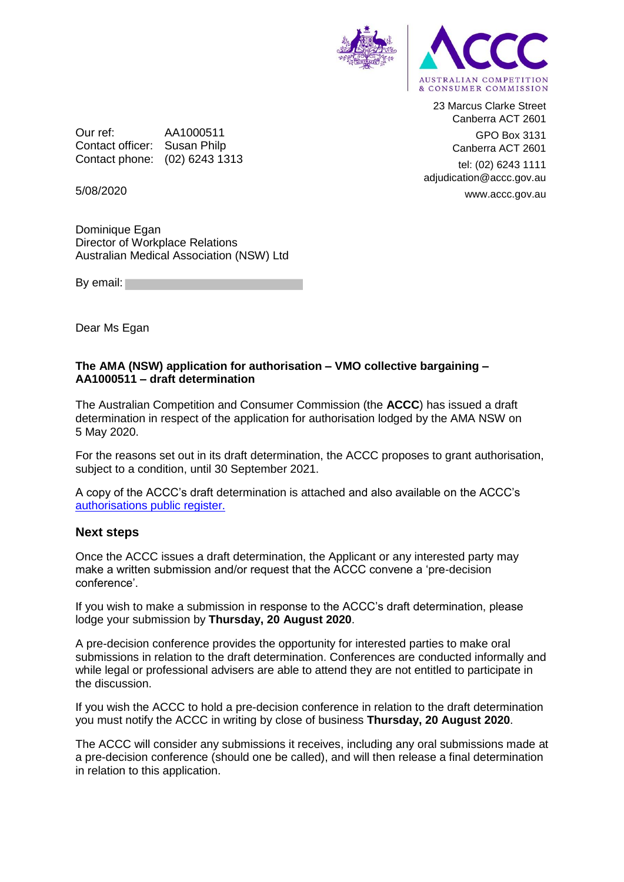

23 Marcus Clarke Street Canberra ACT 2601 GPO Box 3131 Canberra ACT 2601

tel: (02) 6243 1111 adjudication@accc.gov.au www.accc.gov.au

Our ref: AA1000511 Contact officer: Susan Philp Contact phone: (02) 6243 1313

5/08/2020

Dominique Egan Director of Workplace Relations Australian Medical Association (NSW) Ltd

By email:

Dear Ms Egan

## **The AMA (NSW) application for authorisation – VMO collective bargaining – AA1000511 – draft determination**

The Australian Competition and Consumer Commission (the **ACCC**) has issued a draft determination in respect of the application for authorisation lodged by the AMA NSW on 5 May 2020.

For the reasons set out in its draft determination, the ACCC proposes to grant authorisation, subject to a condition, until 30 September 2021.

A copy of the ACCC's draft determination is attached and also available on the ACCC's [authorisations public register.](https://www.accc.gov.au/public-registers/authorisations-and-notifications-registers/authorisations-register/amansw-%e2%80%93-vmo-collective-bargaining-in-response-to-covid-19)

## **Next steps**

Once the ACCC issues a draft determination, the Applicant or any interested party may make a written submission and/or request that the ACCC convene a 'pre-decision conference'.

If you wish to make a submission in response to the ACCC's draft determination, please lodge your submission by **Thursday, 20 August 2020**.

A pre-decision conference provides the opportunity for interested parties to make oral submissions in relation to the draft determination. Conferences are conducted informally and while legal or professional advisers are able to attend they are not entitled to participate in the discussion.

If you wish the ACCC to hold a pre-decision conference in relation to the draft determination you must notify the ACCC in writing by close of business **Thursday, 20 August 2020**.

The ACCC will consider any submissions it receives, including any oral submissions made at a pre-decision conference (should one be called), and will then release a final determination in relation to this application.